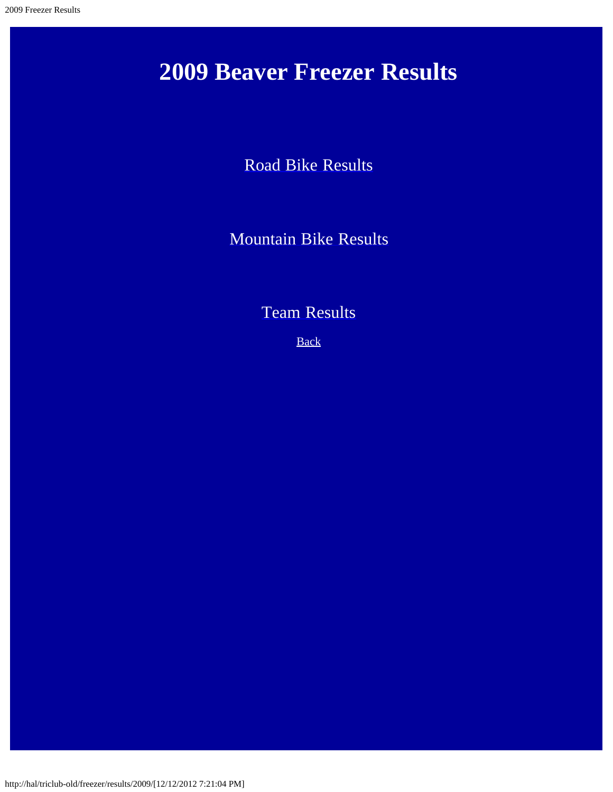## **2009 Beaver Freezer Results**

[Road Bike Results](#page-1-0)

[Mountain Bike Results](#page-7-0)

[Team Results](#page-10-0)

**[Back](http://hal/triclub-old/freezer/results/)**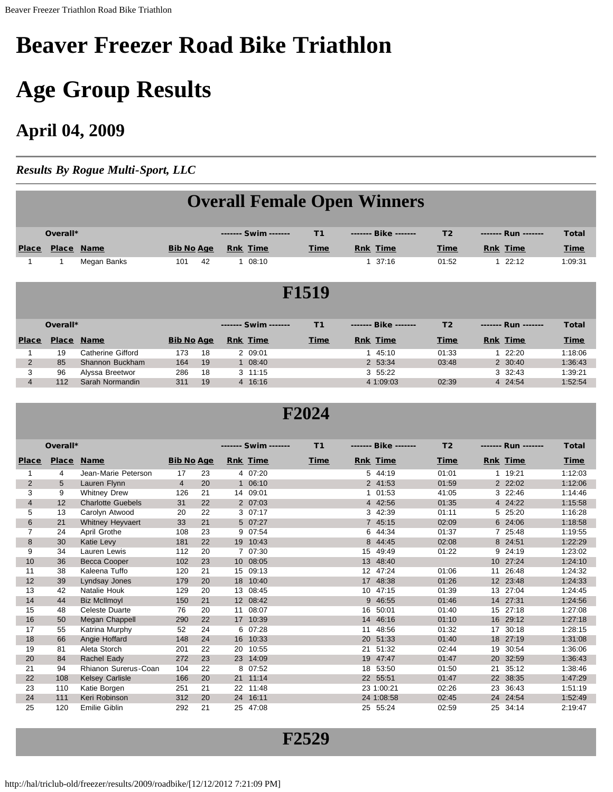# <span id="page-1-0"></span>**Beaver Freezer Road Bike Triathlon**

# **Age Group Results**

### **April 04, 2009**

*Results By Rogue Multi-Sport, LLC*

|                |              |                   |                   |    |                      |                | <b>Overall Female Open Winners</b> |                |                       |              |  |  |  |
|----------------|--------------|-------------------|-------------------|----|----------------------|----------------|------------------------------------|----------------|-----------------------|--------------|--|--|--|
|                |              |                   |                   |    |                      |                |                                    |                |                       |              |  |  |  |
|                |              |                   |                   |    |                      |                |                                    |                |                       |              |  |  |  |
|                | Overall*     |                   |                   |    | ------- Swim ------- | T <sub>1</sub> | Bike                               | T <sub>2</sub> | Run                   | <b>Total</b> |  |  |  |
| <b>Place</b>   |              | Place Name        | <b>Bib No Age</b> |    | <b>Rnk</b> Time      | Time           | <b>Rnk</b> Time                    | Time           | <b>Rnk</b> Time       | <b>Time</b>  |  |  |  |
|                | $\mathbf{1}$ | Megan Banks       | 101               | 42 | 1 08:10              |                | 37:16                              | 01:52          | 22:12<br>$\mathbf{1}$ | 1:09:31      |  |  |  |
|                |              |                   |                   |    |                      |                |                                    |                |                       |              |  |  |  |
|                |              |                   |                   |    |                      | <b>F1519</b>   |                                    |                |                       |              |  |  |  |
|                |              |                   |                   |    |                      |                |                                    |                |                       |              |  |  |  |
|                |              |                   |                   |    |                      |                |                                    |                |                       |              |  |  |  |
|                | Overall*     |                   |                   |    | ------- Swim ------- | T <sub>1</sub> | Bike                               | T <sub>2</sub> | Run                   | <b>Total</b> |  |  |  |
| <b>Place</b>   | <b>Place</b> | <b>Name</b>       | <b>Bib No Age</b> |    | <b>Rnk</b> Time      | <b>Time</b>    | <b>Rnk</b> Time                    | Time           | <b>Rnk</b> Time       | <b>Time</b>  |  |  |  |
|                | 19           | Catherine Gifford | 173               | 18 | 2 09:01              |                | 45:10                              | 01:33          | 22:20<br>$\mathbf{1}$ | 1:18:06      |  |  |  |
| $\overline{2}$ | 85           | Shannon Buckham   | 164               | 19 | $1 \t08:40$          |                | 2 53:34                            | 03:48          | 2 30:40               | 1:36:43      |  |  |  |
| 3              | 96           | Alyssa Breetwor   | 286               | 18 | $3 \t11:15$          |                | 3 55:22                            |                | 3 32:43               | 1:39:21      |  |  |  |
| $\overline{4}$ | 112          | Sarah Normandin   | 311               | 19 | 4 16:16              |                | 4 1:09:03                          | 02:39          | 4 24:54               | 1:52:54      |  |  |  |
|                |              |                   |                   |    |                      |                |                                    |                |                       |              |  |  |  |
|                |              |                   |                   |    |                      |                |                                    |                |                       |              |  |  |  |

#### **F2024**

|                | Overall*     |                          |                   |    |    | ------- Swim ------- | T1   |                   | Bike            | T <sub>2</sub> |    | Run             | <b>Total</b> |
|----------------|--------------|--------------------------|-------------------|----|----|----------------------|------|-------------------|-----------------|----------------|----|-----------------|--------------|
| <b>Place</b>   | <b>Place</b> | <b>Name</b>              | <b>Bib No Age</b> |    |    | <b>Rnk Time</b>      | Time |                   | <b>Rnk Time</b> | Time           |    | <b>Rnk</b> Time | Time         |
| 1              | 4            | Jean-Marie Peterson      | 17                | 23 |    | 4 07:20              |      | 5                 | 44:19           | 01:01          |    | 19:21           | 1:12:03      |
| 2              | 5            | Lauren Flynn             | $\overline{4}$    | 20 |    | 1 06:10              |      |                   | 2 41:53         | 01:59          |    | 2 22:02         | 1:12:06      |
| 3              | 9            | <b>Whitney Drew</b>      | 126               | 21 |    | 14 09:01             |      | 1                 | 01:53           | 41:05          |    | 3 22:46         | 1:14:46      |
| $\overline{4}$ | 12           | <b>Charlotte Guebels</b> | 31                | 22 |    | 2 07:03              |      |                   | 4 42:56         | 01:35          |    | 4 24:22         | 1:15:58      |
| 5              | 13           | Carolyn Atwood           | 20                | 22 |    | 307:17               |      | 3                 | 42:39           | 01:11          |    | 5 25:20         | 1:16:28      |
| 6              | 21           | <b>Whitney Heyvaert</b>  | 33                | 21 |    | 5 07:27              |      |                   | 7 45:15         | 02:09          |    | 6 24:06         | 1:18:58      |
| 7              | 24           | April Grothe             | 108               | 23 |    | 9 07:54              |      | 6                 | 44:34           | 01:37          |    | 7 25:48         | 1:19:55      |
| 8              | 30           | Katie Levy               | 181               | 22 |    | 19 10:43             |      | 8                 | 44:45           | 02:08          |    | 8 24:51         | 1:22:29      |
| 9              | 34           | Lauren Lewis             | 112               | 20 |    | 7 07:30              |      | 15                | 49:49           | 01:22          |    | 9 24:19         | 1:23:02      |
| 10             | 36           | <b>Becca Cooper</b>      | 102               | 23 |    | 10 08:05             |      | 13                | 48:40           |                |    | 10 27:24        | 1:24:10      |
| 11             | 38           | Kaleena Tuffo            | 120               | 21 |    | 15 09:13             |      | $12 \overline{ }$ | 47:24           | 01:06          | 11 | 26:48           | 1:24:32      |
| 12             | 39           | Lyndsay Jones            | 179               | 20 |    | 18 10:40             |      | 17                | 48:38           | 01:26          |    | 12 23:48        | 1:24:33      |
| 13             | 42           | Natalie Houk             | 129               | 20 | 13 | 08:45                |      | 10                | 47:15           | 01:39          | 13 | 27:04           | 1:24:45      |
| 14             | 44           | <b>Biz McIlmoyl</b>      | 150               | 21 |    | 12 08:42             |      | 9                 | 46:55           | 01:46          |    | 14 27:31        | 1:24:56      |
| 15             | 48           | <b>Celeste Duarte</b>    | 76                | 20 | 11 | 08:07                |      | 16                | 50:01           | 01:40          |    | 15 27:18        | 1:27:08      |
| 16             | 50           | Megan Chappell           | 290               | 22 |    | 17 10:39             |      | 14                | 46:16           | 01:10          |    | 16 29:12        | 1:27:18      |
| 17             | 55           | Katrina Murphy           | 52                | 24 |    | 6 07:28              |      | 11                | 48:56           | 01:32          | 17 | 30:18           | 1:28:15      |
| 18             | 66           | Angie Hoffard            | 148               | 24 |    | 16 10:33             |      | <b>20</b>         | 51:33           | 01:40          |    | 18 27:19        | 1:31:08      |
| 19             | 81           | Aleta Storch             | 201               | 22 | 20 | 10:55                |      | 21                | 51:32           | 02:44          | 19 | 30:54           | 1:36:06      |
| 20             | 84           | Rachel Eady              | 272               | 23 |    | 23 14:09             |      | 19                | 47:47           | 01:47          | 20 | 32:59           | 1:36:43      |
| 21             | 94           | Rhianon Surerus-Coan     | 104               | 22 |    | 8 07:52              |      | 18                | 53:50           | 01:50          | 21 | 35:12           | 1:38:46      |
| 22             | 108          | <b>Kelsey Carlisle</b>   | 166               | 20 |    | 21 11:14             |      | 22 <sup>2</sup>   | 55:51           | 01:47          |    | 22 38:35        | 1:47:29      |
| 23             | 110          | Katie Borgen             | 251               | 21 |    | 22 11:48             |      |                   | 23 1:00:21      | 02:26          | 23 | 36:43           | 1:51:19      |
| 24             | 111          | Keri Robinson            | 312               | 20 |    | 24 16:11             |      |                   | 24 1:08:58      | 02:45          |    | 24 24:54        | 1:52:49      |
| 25             | 120          | Emilie Giblin            | 292               | 21 |    | 25 47:08             |      | 25                | 55:24           | 02:59          | 25 | 34:14           | 2:19:47      |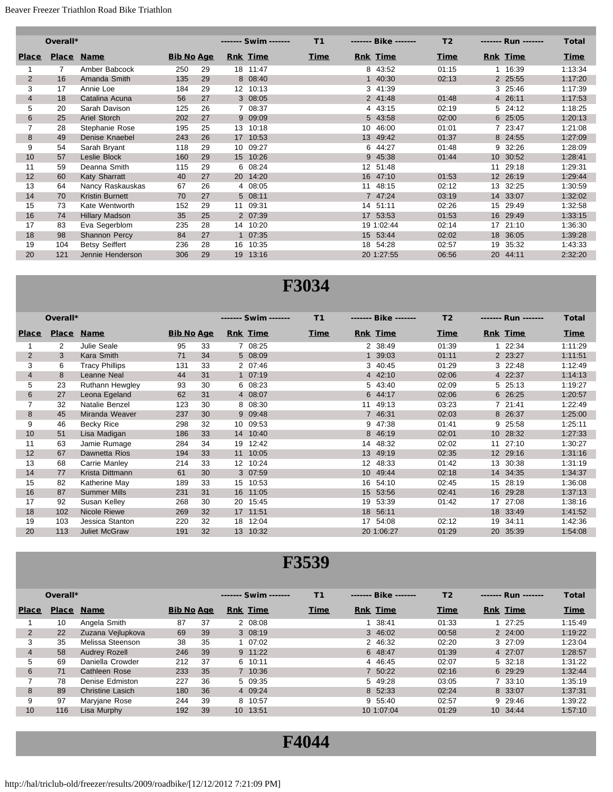|                | Overall*     |                        |                   |    |                  | ------- Swim ------- | T1          |    | Bike            | T <sub>2</sub> | ------- Run ------- | <b>Total</b> |
|----------------|--------------|------------------------|-------------------|----|------------------|----------------------|-------------|----|-----------------|----------------|---------------------|--------------|
| <b>Place</b>   | <b>Place</b> | <b>Name</b>            | <b>Bib No Age</b> |    |                  | <b>Rnk Time</b>      | <b>Time</b> |    | <b>Rnk</b> Time | Time           | <b>Rnk Time</b>     | <b>Time</b>  |
| 1              | 7            | Amber Babcock          | 250               | 29 |                  | 18 11:47             |             |    | 8 43:52         | 01:15          | 1 16:39             | 1:13:34      |
| $\overline{2}$ | 16           | Amanda Smith           | 135               | 29 |                  | 8 08:40              |             |    | 40:30           | 02:13          | 2 25:55             | 1:17:20      |
| 3              | 17           | Annie Loe              | 184               | 29 | 12 <sup>12</sup> | 10:13                |             | 3  | 41:39           |                | 3 25:46             | 1:17:39      |
| $\overline{4}$ | 18           | Catalina Acuna         | 56                | 27 |                  | 3 08:05              |             |    | 2 41:48         | 01:48          | 4 26:11             | 1:17:53      |
| 5              | 20           | Sarah Davison          | 125               | 26 |                  | 7 08:37              |             |    | 4 43:15         | 02:19          | 5 24:12             | 1:18:25      |
| 6              | 25           | Ariel Storch           | 202               | 27 |                  | 9 09:09              |             |    | 5 43:58         | 02:00          | 6 25:05             | 1:20:13      |
| $\overline{7}$ | 28           | Stephanie Rose         | 195               | 25 | 13               | 10:18                |             | 10 | 46:00           | 01:01          | 7 23:47             | 1:21:08      |
| 8              | 49           | Denise Knaebel         | 243               | 26 | 17 <sup>2</sup>  | 10:53                |             | 13 | 49:42           | 01:37          | 8 24:55             | 1:27:09      |
| 9              | 54           | Sarah Bryant           | 118               | 29 |                  | 10 09:27             |             | 6  | 44:27           | 01:48          | 32:26<br>9          | 1:28:09      |
| 10             | 57           | Leslie Block           | 160               | 29 |                  | 15 10:26             |             | 9  | 45:38           | 01:44          | 10 30:52            | 1:28:41      |
| 11             | 59           | Deanna Smith           | 115               | 29 |                  | 6 08:24              |             |    | 12 51:48        |                | 29:18<br>11         | 1:29:31      |
| 12             | 60           | Katy Sharratt          | 40                | 27 |                  | 20 14:20             |             |    | 16 47:10        | 01:53          | 12 26:19            | 1:29:44      |
| 13             | 64           | Nancy Raskauskas       | 67                | 26 |                  | 4 08:05              |             | 11 | 48:15           | 02:12          | 32:25<br>13         | 1:30:59      |
| 14             | 70           | <b>Kristin Burnett</b> | 70                | 27 |                  | 5 08:11              |             |    | 7 47:24         | 03:19          | 14 33:07            | 1:32:02      |
| 15             | 73           | Kate Wentworth         | 152               | 29 |                  | 11 09:31             |             |    | 14 51:11        | 02:26          | 15 29:49            | 1:32:58      |
| 16             | 74           | <b>Hillary Madson</b>  | 35                | 25 |                  | 2 07:39              |             |    | 17 53:53        | 01:53          | 16 29:49            | 1:33:15      |
| 17             | 83           | Eva Segerblom          | 235               | 28 | 14               | 10:20                |             |    | 19 1:02:44      | 02:14          | 17 21:10            | 1:36:30      |
| 18             | 98           | Shannon Percy          | 84                | 27 | 1                | 07:35                |             |    | 15 53:44        | 02:02          | 36:05<br>18         | 1:39:28      |
| 19             | 104          | <b>Betsy Seiffert</b>  | 236               | 28 | 16               | 10:35                |             | 18 | 54:28           | 02:57          | 35:32<br>19         | 1:43:33      |
| 20             | 121          | Jennie Henderson       | 306               | 29 | 19               | 13:16                |             |    | 20 1:27:55      | 06:56          | 20<br>44:11         | 2:32:20      |

### **F3034**

|              | Overall*       |                       |                   |    |    | ------- Swim ------- | T1          |                   | Bike            | T <sub>2</sub> |    | ------- Run ------- | <b>Total</b> |
|--------------|----------------|-----------------------|-------------------|----|----|----------------------|-------------|-------------------|-----------------|----------------|----|---------------------|--------------|
| <b>Place</b> | <b>Place</b>   | <b>Name</b>           | <b>Bib No Age</b> |    |    | <b>Rnk</b> Time      | <u>Time</u> |                   | <b>Rnk Time</b> | <b>Time</b>    |    | <b>Rnk Time</b>     | <b>Time</b>  |
|              | $\overline{2}$ | Julie Seale           | 95                | 33 |    | 7 08:25              |             |                   | 2 38:49         | 01:39          |    | 22:34               | 1:11:29      |
| 2            | 3              | Kara Smith            | 71                | 34 |    | 5 08:09              |             | 1                 | 39:03           | 01:11          |    | 2 23:27             | 1:11:51      |
| 3            | 6              | <b>Tracy Phillips</b> | 131               | 33 |    | 2 07:46              |             | 3                 | 40:45           | 01:29          |    | 3 22:48             | 1:12:49      |
| 4            | 8              | Leanne Neal           | 44                | 31 |    | 1 07:19              |             |                   | 4 42:10         | 02:06          |    | 4 22:37             | 1:14:13      |
| 5            | 23             | Ruthann Hewgley       | 93                | 30 |    | 6 08:23              |             | 5.                | 43:40           | 02:09          |    | 5 25:13             | 1:19:27      |
| 6            | 27             | Leona Egeland         | 62                | 31 |    | 4 08:07              |             | 6                 | 44:17           | 02:06          |    | 6 26:25             | 1:20:57      |
| 7            | 32             | Natalie Benzel        | 123               | 30 |    | 8 08:30              |             | 11                | 49:13           | 03:23          |    | 7 21:41             | 1:22:49      |
| 8            | 45             | Miranda Weaver        | 237               | 30 |    | 9 09:48              |             | 7                 | 46:31           | 02:03          |    | 8 26:37             | 1:25:00      |
| 9            | 46             | Becky Rice            | 298               | 32 |    | 10 09:53             |             | 9                 | 47:38           | 01:41          |    | 9 25:58             | 1:25:11      |
| 10           | 51             | Lisa Madigan          | 186               | 33 |    | 14 10:40             |             | 8                 | 46:19           | 02:01          |    | 10 28:32            | 1:27:33      |
| 11           | 63             | Jamie Rumage          | 284               | 34 | 19 | 12:42                |             | 14                | 48:32           | 02:02          | 11 | 27:10               | 1:30:27      |
| 12           | 67             | Dawnetta Rios         | 194               | 33 |    | 11 10:05             |             | 13 <sup>2</sup>   | 49:19           | 02:35          |    | 12 29:16            | 1:31:16      |
| 13           | 68             | Carrie Manley         | 214               | 33 |    | 12 10:24             |             | $12 \overline{ }$ | 48:33           | 01:42          |    | 13 30:38            | 1:31:19      |
| 14           | 77             | Krista Dittmann       | 61                | 30 |    | 3 07:59              |             | 10 <sup>°</sup>   | 49:44           | 02:18          |    | 14 34:35            | 1:34:37      |
| 15           | 82             | Katherine May         | 189               | 33 |    | 15 10:53             |             | 16                | 54:10           | 02:45          |    | 15 28:19            | 1:36:08      |
| 16           | 87             | <b>Summer Mills</b>   | 231               | 31 |    | 16 11:05             |             | 15                | 53:56           | 02:41          |    | 16 29:28            | 1:37:13      |
| 17           | 92             | Susan Kelley          | 268               | 30 |    | 20 15:45             |             | 19                | 53:39           | 01:42          |    | 17 27:08            | 1:38:16      |
| 18           | 102            | <b>Nicole Riewe</b>   | 269               | 32 |    | 17 11:51             |             | 18                | 56:11           |                |    | 18 33:49            | 1:41:52      |
| 19           | 103            | Jessica Stanton       | 220               | 32 | 18 | 12:04                |             | 17                | 54:08           | 02:12          | 19 | 34:11               | 1:42:36      |
| 20           | 113            | <b>Juliet McGraw</b>  | 191               | 32 |    | 13 10:32             |             |                   | 20 1:06:27      | 01:29          |    | 20 35:39            | 1:54:08      |

|                | Overall*     |                         |                   |    | ------- Swim ------- | <b>T1</b> | Bike            | T <sub>2</sub> | Run             | <b>Total</b> |
|----------------|--------------|-------------------------|-------------------|----|----------------------|-----------|-----------------|----------------|-----------------|--------------|
| <b>Place</b>   | <b>Place</b> | <b>Name</b>             | <b>Bib No Age</b> |    | <b>Rnk</b> Time      | Time      | <b>Rnk</b> Time | Time           | <b>Rnk Time</b> | <b>Time</b>  |
|                | 10           | Angela Smith            | 87                | 37 | 2 08:08              |           | 38:41           | 01:33          | 127:25          | 1:15:49      |
| $\overline{2}$ | 22           | Zuzana Vejlupkova       | 69                | 39 | 3 08:19              |           | 3 46:02         | 00:58          | 2 24:00         | 1:19:22      |
| 3              | 35           | Melissa Steenson        | 38                | 35 | 1 07:02              |           | 2 46:32         | 02:20          | 3 27:09         | 1:23:04      |
| 4              | 58           | Audrey Rozell           | 246               | 39 | 9 11:22              |           | 6 48:47         | 01:39          | 4 27:07         | 1:28:57      |
| 5              | 69           | Daniella Crowder        | 212               | 37 | 6 10:11              |           | 4 46:45         | 02:07          | 5 32:18         | 1:31:22      |
| 6              | 71           | Cathleen Rose           | 233               | 35 | 7 10:36              |           | 7 50:22         | 02:16          | 6 29:29         | 1:32:44      |
|                | 78           | Denise Edmiston         | 227               | 36 | 5 09:35              |           | 5 49:28         | 03:05          | 7 33:10         | 1:35:19      |
| 8              | 89           | <b>Christine Lasich</b> | 180               | 36 | 4 09:24              |           | 8 52:33         | 02:24          | 8 33:07         | 1:37:31      |
| 9              | 97           | Maryjane Rose           | 244               | 39 | 8 10:57              |           | 9 55:40         | 02:57          | $9\quad 29:46$  | 1:39:22      |
| 10             | 116          | Lisa Murphy             | 192               | 39 | 10 13:51             |           | 10 1:07:04      | 01:29          | 10 34:44        | 1:57:10      |

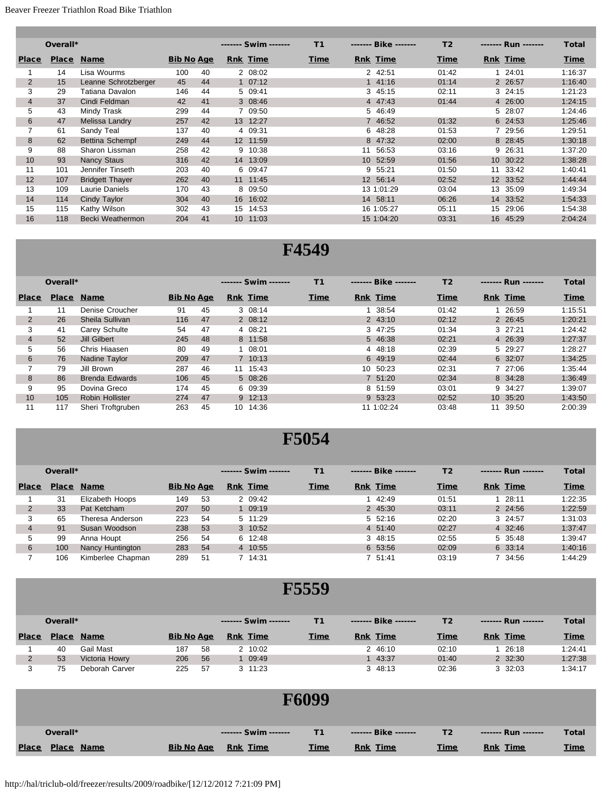|                | Overall*     |                        |                   |    |                 | ------- Swim ------- | <b>T1</b>   |                 | Bike       | T <sub>2</sub> |    | ------- Run ------- | <b>Total</b> |
|----------------|--------------|------------------------|-------------------|----|-----------------|----------------------|-------------|-----------------|------------|----------------|----|---------------------|--------------|
| <b>Place</b>   | <b>Place</b> | <b>Name</b>            | <b>Bib No Age</b> |    |                 | <b>Rnk</b> Time      | <b>Time</b> |                 | Rnk Time   | <b>Time</b>    |    | <b>Rnk</b> Time     | <u>Time</u>  |
|                | 14           | Lisa Wourms            | 100               | 40 |                 | 2 08:02              |             |                 | 2 42:51    | 01:42          |    | 124:01              | 1:16:37      |
| $\overline{2}$ | 15           | Leanne Schrotzberger   | 45                | 44 |                 | $1 \t07:12$          |             |                 | 141:16     | 01:14          |    | 2 26:57             | 1:16:40      |
| 3              | 29           | Tatiana Davalon        | 146               | 44 |                 | 5 09:41              |             | 3               | 45:15      | 02:11          |    | $3\quad 24:15$      | 1:21:23      |
| $\overline{4}$ | 37           | Cindi Feldman          | 42                | 41 |                 | 3 08:46              |             |                 | 4 47:43    | 01:44          |    | 4 26:00             | 1:24:15      |
| 5              | 43           | Mindy Trask            | 299               | 44 |                 | 7 09:50              |             |                 | 5 46:49    |                |    | 5 28:07             | 1:24:46      |
| 6              | 47           | Melissa Landry         | 257               | 42 |                 | 13 12:27             |             |                 | 7 46:52    | 01:32          |    | 6 24:53             | 1:25:46      |
| 7              | 61           | Sandy Teal             | 137               | 40 |                 | 4 09:31              |             | 6               | 48:28      | 01:53          |    | 7 29:56             | 1:29:51      |
| 8              | 62           | Bettina Schempf        | 249               | 44 |                 | 12 11:59             |             | 8               | 47:32      | 02:00          |    | 8 28:45             | 1:30:18      |
| 9              | 88           | Sharon Lissman         | 258               | 42 | 9               | 10:38                |             | 11              | 56:53      | 03:16          |    | 9 26:31             | 1:37:20      |
| 10             | 93           | <b>Nancy Staus</b>     | 316               | 42 |                 | 14 13:09             |             | 10 <sup>1</sup> | 52:59      | 01:56          |    | 10 30:22            | 1:38:28      |
| 11             | 101          | Jennifer Tinseth       | 203               | 40 |                 | 6 09:47              |             | 9               | 55:21      | 01:50          | 11 | 33:42               | 1:40:41      |
| 12             | 107          | <b>Bridgett Thayer</b> | 262               | 40 |                 | 11 11:45             |             |                 | 12 56:14   | 02:52          |    | 12 33:52            | 1:44:44      |
| 13             | 109          | Laurie Daniels         | 170               | 43 |                 | 8 09:50              |             |                 | 13 1:01:29 | 03:04          |    | 13 35:09            | 1:49:34      |
| 14             | 114          | Cindy Taylor           | 304               | 40 | 16 <sup>1</sup> | 16:02                |             |                 | 14 58:11   | 06:26          |    | 14 33:52            | 1:54:33      |
| 15             | 115          | Kathy Wilson           | 302               | 43 | 15              | 14:53                |             |                 | 16 1:05:27 | 05:11          | 15 | 29:06               | 1:54:38      |
| 16             | 118          | Becki Weathermon       | 204               | 41 | 10 <sup>1</sup> | 11:03                |             |                 | 15 1:04:20 | 03:31          |    | 16 45:29            | 2:04:24      |

#### **F4549**

|                | Overall* |                       |                   |    | ------- Swim ------- | T1          | Bike            | T <sub>2</sub> | Run             | <b>Total</b> |
|----------------|----------|-----------------------|-------------------|----|----------------------|-------------|-----------------|----------------|-----------------|--------------|
| <b>Place</b>   |          | <b>Place Name</b>     | <b>Bib No Age</b> |    | <b>Rnk Time</b>      | <b>Time</b> | <b>Rnk Time</b> | Time           | <b>Rnk Time</b> | <b>Time</b>  |
|                | 11       | Denise Croucher       | 91                | 45 | 3 08:14              |             | 38:54           | 01:42          | 1 26:59         | 1:15:51      |
| 2              | 26       | Sheila Sullivan       | 116               | 47 | 2 08:12              |             | 2 43:10         | 02:12          | 2 26:45         | 1:20:21      |
| 3              | 41       | Carey Schulte         | 54                | 47 | 4 08:21              |             | 3 47:25         | 01:34          | $3 \t27:21$     | 1:24:42      |
| $\overline{4}$ | 52       | Jill Gilbert          | 245               | 48 | 8 11:58              |             | 5 46:38         | 02:21          | 4 26:39         | 1:27:37      |
| 5              | 56       | Chris Hiaasen         | 80                | 49 | 1 08:01              |             | 4 48:18         | 02:39          | 5 29:27         | 1:28:27      |
| 6              | 76       | Nadine Taylor         | 209               | 47 | 7 10:13              |             | 6 49:19         | 02:44          | 6 32:07         | 1:34:25      |
|                | 79       | Jill Brown            | 287               | 46 | 11 15:43             |             | 10 50:23        | 02:31          | 7 27:06         | 1:35:44      |
| 8              | 86       | <b>Brenda Edwards</b> | 106               | 45 | 5 08:26              |             | 7 51:20         | 02:34          | 8 34:28         | 1:36:49      |
| 9              | 95       | Dovina Greco          | 174               | 45 | 6 09:39              |             | 8 51:59         | 03:01          | 9 34:27         | 1:39:07      |
| 10             | 105      | Robin Hollister       | 274               | 47 | $9$ 12:13            |             | 9 53:23         | 02:52          | 10 35:20        | 1:43:50      |
| 11             | 117      | Sheri Troftaruben     | 263               | 45 | 10 14:36             |             | 11 1:02:24      | 03:48          | 11 39:50        | 2:00:39      |

#### **F5054**

|              | Overall*     |                   |                   |     | ------- Swim ------- | T1          | Bike            | T <sub>2</sub> | Run             | <b>Total</b> |
|--------------|--------------|-------------------|-------------------|-----|----------------------|-------------|-----------------|----------------|-----------------|--------------|
| <b>Place</b> | <b>Place</b> | <b>Name</b>       | <b>Bib No Age</b> |     | <b>Rnk Time</b>      | <b>Time</b> | <b>Rnk Time</b> | Time           | <b>Rnk Time</b> | <b>Time</b>  |
|              | 31           | Elizabeth Hoops   | 149               | 53  | 2 09:42              |             | 42:49           | 01:51          | 28:11           | 1:22:35      |
|              | 33           | Pat Ketcham       | 207               | 50  | 1 09:19              |             | 2 45:30         | 03:11          | 2 24:56         | 1:22:59      |
|              | 65           | Theresa Anderson  | 223               | 54  | 5 11:29              |             | 5 52:16         | 02:20          | $3\quad 24:57$  | 1:31:03      |
| 4            | 91           | Susan Woodson     | 238               | 53  | 3 10:52              |             | 4 51:40         | 02:27          | 4 32:46         | 1:37:47      |
| 5            | 99           | Anna Houpt        | 256               | 54  | 6 12:48              |             | 3 48:15         | 02:55          | 5 35:48         | 1:39:47      |
| 6            | 100          | Nancy Huntington  | 283               | 54  | 4 10:55              |             | 6 53:56         | 02:09          | 6 33:14         | 1:40:16      |
|              | 106          | Kimberlee Chapman | 289               | -51 | 7 14:31              |             | 7 51:41         | 03:19          | 7 34:56         | 1:44:29      |

|              | Overall* |                |                   |     | ------- Swim ------- |             | Bike            | Т2          | Run            | Total       |
|--------------|----------|----------------|-------------------|-----|----------------------|-------------|-----------------|-------------|----------------|-------------|
| <b>Place</b> | Place    | <b>Name</b>    | <b>Bib No Age</b> |     | <b>Rnk</b> Time      | <b>Time</b> | <b>Rnk</b> Time | <b>Time</b> | Rnk Time       | <b>Time</b> |
|              | 40       | Gail Mast      | 187               | 58  | 2 10:02              |             | 2 46:10         | 02:10       | 26:18          | 1:24:41     |
|              | 53       | Victoria Howry | 206               | 56  | 09:49                |             | 43:37           | 01:40       | 2 32:30        | 1:27:38     |
|              | 75       | Deborah Carver | 225               | -57 | $3 \t11:23$          |             | 3 48:13         | 02:36       | $3\quad 32:03$ | 1:34:17     |

|                                   |                   |                      | <b>F6099</b> |                 |                |                      |              |
|-----------------------------------|-------------------|----------------------|--------------|-----------------|----------------|----------------------|--------------|
| Overall*                          |                   | ------- Swim ------- | T1           | Bike            | T <sub>2</sub> | -------- Run ------- | <b>Total</b> |
| <b>Place</b><br><b>Place Name</b> | <b>Bib No Age</b> | <b>Rnk Time</b>      | <b>Time</b>  | <b>Rnk Time</b> | <b>Time</b>    | <b>Rnk Time</b>      | <b>Time</b>  |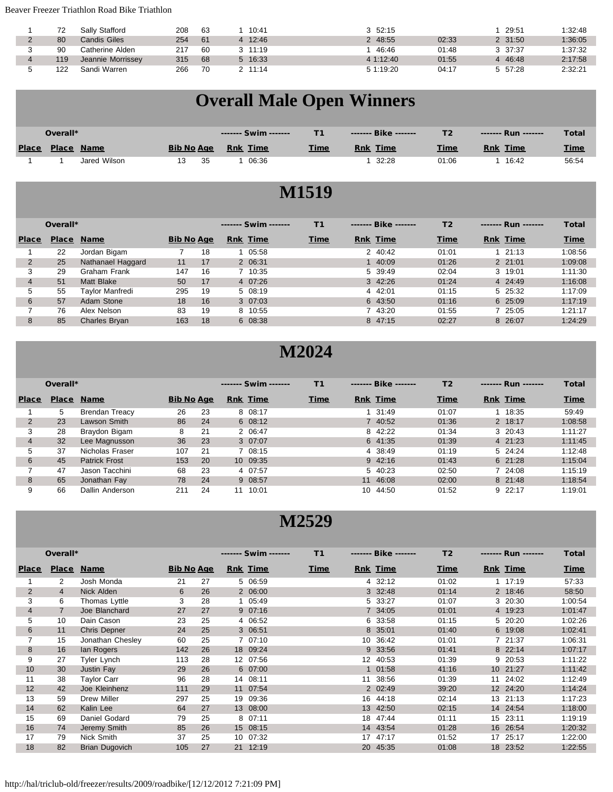#### Beaver Freezer Triathlon Road Bike Triathlon

|                      | 72  | Sally Stafford    | 208 | 63 | 10:41       | $3\quad 52:15$ |       | 29:51   | 1:32:48 |
|----------------------|-----|-------------------|-----|----|-------------|----------------|-------|---------|---------|
| $\Omega$<br><u>_</u> | 80  | Candis Giles      | 254 | 61 | 12:46       | 2 48:55        | 02:33 | 2 31:50 | 1:36:05 |
|                      | 90  | Catherine Alden   | 217 | 60 | $3 \t11:19$ | 46:46          | 01:48 | 3 37:37 | 1:37:32 |
|                      | 119 | Jeannie Morrissey | 315 | 68 | 5 16:33     | 41:12:40       | 01:55 | 4 46:48 | 2:17:58 |
|                      | 122 | Sandi Warren      | 266 | 70 | 11:14       | 5 1:19:20      | 04:17 | 5 57:28 | 2:32:21 |

## **Overall Male Open Winners**

|              | Overall*     |              |                   |    | ------- Swim -------      |             | Bike               |             | Run                | Total       |
|--------------|--------------|--------------|-------------------|----|---------------------------|-------------|--------------------|-------------|--------------------|-------------|
| <b>Place</b> | <b>Place</b> | <b>Name</b>  | <b>Bib No Age</b> |    | <b>Time</b><br><u>Rnk</u> | <b>Time</b> | Time<br><b>Rnk</b> | <u>Time</u> | <b>Time</b><br>Rnk | <b>Time</b> |
|              |              | Jared Wilson |                   | 35 | 06:36                     |             | 32:28              | 01:06       | 16:42              | 56:54       |

#### **M1519**

|              | Overall*     |                   |                   | ------- Swim ------- | T1          | Bike     | T <sub>2</sub> | Run             | <b>Total</b> |
|--------------|--------------|-------------------|-------------------|----------------------|-------------|----------|----------------|-----------------|--------------|
| <b>Place</b> | <b>Place</b> | <b>Name</b>       | <b>Bib No Age</b> | Rnk Time             | <b>Time</b> | Rnk Time | Time           | <b>Rnk Time</b> | <b>Time</b>  |
|              | 22           | Jordan Bigam      | 18                | 05:58                |             | 2 40:42  | 01:01          | 121:13          | 1:08:56      |
|              | 25           | Nathanael Haggard | 17<br>11          | 2 06:31              |             | 40:09    | 01:26          | 2, 21:01        | 1:09:08      |
|              | 29           | Graham Frank      | 147<br>16         | 7 10:35              |             | 5 39:49  | 02:04          | 3 19:01         | 1:11:30      |
| 4            | 51           | <b>Matt Blake</b> | 50<br>17          | 4 07:26              |             | 3 42:26  | 01:24          | 4 24:49         | 1:16:08      |
| 5            | 55           | Taylor Manfredi   | 295<br>19         | 5 08:19              |             | 4 42:01  | 01:15          | 5 25:32         | 1:17:09      |
| 6            | 57           | Adam Stone        | 18<br>16          | 307:03               |             | 6 43:50  | 01:16          | 6 25:09         | 1:17:19      |
|              | 76           | Alex Nelson       | 83<br>19          | 8 10:55              |             | 7 43:20  | 01:55          | 7 25:05         | 1:21:17      |
| 8            | 85           | Charles Bryan     | 163<br>18         | 6 08:38              |             | 8 47:15  | 02:27          | 8 26:07         | 1:24:29      |

#### **M2024**

|                | Overall*     |                       |                   |    | Swim            | T1          | Bike            | T <sub>2</sub> | Run             | <b>Total</b> |
|----------------|--------------|-----------------------|-------------------|----|-----------------|-------------|-----------------|----------------|-----------------|--------------|
| <b>Place</b>   | <b>Place</b> | <b>Name</b>           | <b>Bib No Age</b> |    | <b>Rnk</b> Time | <b>Time</b> | <b>Rnk Time</b> | Time           | <b>Rnk</b> Time | <b>Time</b>  |
|                | 5            | <b>Brendan Treacy</b> | 26                | 23 | 8 08:17         |             | 31:49           | 01:07          | 18:35           | 59:49        |
| $\overline{2}$ | 23           | Lawson Smith          | 86                | 24 | 6 08:12         |             | 7 40:52         | 01:36          | 2 18:17         | 1:08:58      |
| 3              | 28           | Braydon Bigam         | 8                 | 21 | 2 06:47         |             | 8 42:22         | 01:34          | $3\quad 20:43$  | 1:11:27      |
| $\overline{4}$ | 32           | Lee Magnusson         | 36                | 23 | 307:07          |             | 6 41:35         | 01:39          | 4 21:23         | 1:11:45      |
| 5.             | 37           | Nicholas Fraser       | 107               | 21 | 7 08:15         |             | 4 38:49         | 01:19          | 5 24:24         | 1:12:48      |
| 6              | 45           | <b>Patrick Frost</b>  | 153               | 20 | 10 09:35        |             | $9 \t42:16$     | 01:43          | 6 21:28         | 1:15:04      |
|                | 47           | Jason Tacchini        | 68                | 23 | 4 07:57         |             | 5 40:23         | 02:50          | 7 24:08         | 1:15:19      |
| 8              | 65           | Jonathan Fay          | 78                | 24 | 9 08:57         |             | 46:08<br>11     | 02:00          | 8 21:48         | 1:18:54      |
| 9              | 66           | Dallin Anderson       | 211               | 24 | 10:01<br>11     |             | 44:50<br>10     | 01:52          | 92:17           | 1:19:01      |

|                | Overall*       |                     |                   |    |    | ------- Swim ------- | T1          |    | Bike            | T <sub>2</sub> |    | ------- Run ------- | <b>Total</b> |
|----------------|----------------|---------------------|-------------------|----|----|----------------------|-------------|----|-----------------|----------------|----|---------------------|--------------|
| <b>Place</b>   | <b>Place</b>   | <b>Name</b>         | <b>Bib No Age</b> |    |    | <b>Rnk Time</b>      | <b>Time</b> |    | <b>Rnk Time</b> | <b>Time</b>    |    | <b>Rnk Time</b>     | <u>Time</u>  |
|                | 2              | Josh Monda          | 21                | 27 |    | 5 06:59              |             |    | 4 32:12         | 01:02          |    | 1 17:19             | 57:33        |
| 2              | 4              | Nick Alden          | 6                 | 26 |    | 2 06:00              |             |    | 3 32:48         | 01:14          |    | 2 18:46             | 58:50        |
| 3              | 6              | Thomas Lyttle       | 3                 | 28 |    | 1 05:49              |             | 5. | 33:27           | 01:07          |    | 3 20:30             | 1:00:54      |
| $\overline{4}$ | $\overline{7}$ | Joe Blanchard       | 27                | 27 |    | 9 07:16              |             |    | 7 34:05         | 01:01          |    | 4 19:23             | 1:01:47      |
| 5              | 10             | Dain Cason          | 23                | 25 |    | 4 06:52              |             | 6  | 33:58           | 01:15          |    | 5 20:20             | 1:02:26      |
| 6              | 11             | <b>Chris Depner</b> | 24                | 25 |    | 3 06:51              |             |    | 8 35:01         | 01:40          |    | 6 19:08             | 1:02:41      |
|                | 15             | Jonathan Chesley    | 60                | 25 |    | 7 07:10              |             | 10 | 36:42           | 01:01          |    | 7 21:37             | 1:06:31      |
| 8              | 16             | lan Rogers          | 142               | 26 |    | 18 09:24             |             |    | 9 33:56         | 01:41          |    | 8 22:14             | 1:07:17      |
| 9              | 27             | Tyler Lynch         | 113               | 28 |    | 12 07:56             |             |    | 12 40:53        | 01:39          |    | 9 20:53             | 1:11:22      |
| 10             | 30             | Justin Fay          | 29                | 26 |    | 6 07:00              |             |    | 1 01:58         | 41:16          |    | 10 21:27            | 1:11:42      |
| 11             | 38             | Taylor Carr         | 96                | 28 |    | 14 08:11             |             | 11 | 38:56           | 01:39          | 11 | 24:02               | 1:12:49      |
| 12             | 42             | Joe Kleinhenz       | 111               | 29 |    | 11 07:54             |             |    | 2 02:49         | 39:20          |    | 12 24:20            | 1:14:24      |
| 13             | 59             | <b>Drew Miller</b>  | 297               | 25 |    | 19 09:36             |             | 16 | 44:18           | 02:14          |    | 13 21:13            | 1:17:23      |
| 14             | 62             | Kalin Lee           | 64                | 27 |    | 13 08:00             |             | 13 | 42:50           | 02:15          |    | 14 24:54            | 1:18:00      |
| 15             | 69             | Daniel Godard       | 79                | 25 |    | 8 07:11              |             | 18 | 47:44           | 01:11          |    | 15 23:11            | 1:19:19      |
| 16             | 74             | Jeremy Smith        | 85                | 26 |    | 15 08:15             |             |    | 14 43:54        | 01:28          |    | 16 26:54            | 1:20:32      |
| 17             | 79             | Nick Smith          | 37                | 25 |    | 10 07:32             |             | 17 | 47:17           | 01:52          |    | 17 25:17            | 1:22:00      |
| 18             | 82             | Brian Dugovich      | 105               | 27 | 21 | 12:19                |             | 20 | 45:35           | 01:08          | 18 | 23:52               | 1:22:55      |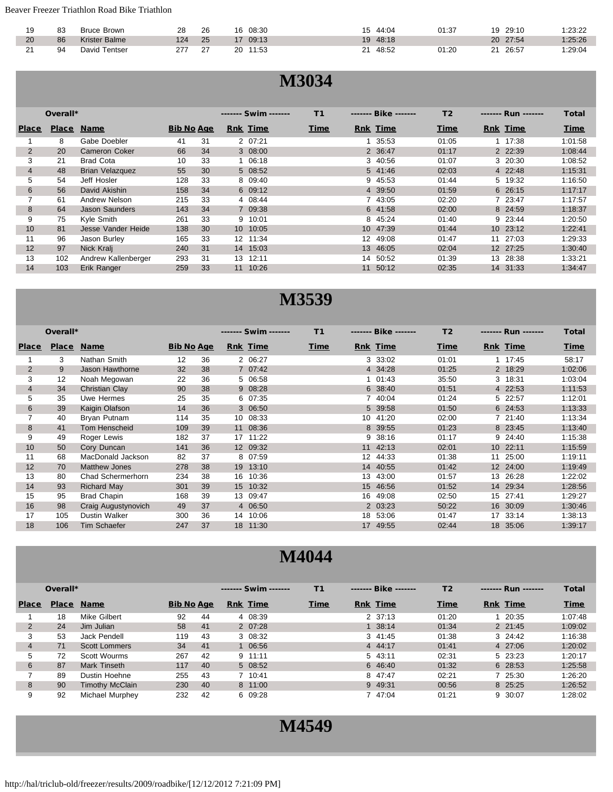Beaver Freezer Triathlon Road Bike Triathlon

| 19 | 83 | Brown<br>3ruce     | ററ<br>∠o | 26 | 08:30       | 44:04       | 01:37 | 29:10<br>10 | :23:22  |
|----|----|--------------------|----------|----|-------------|-------------|-------|-------------|---------|
| 20 | 86 | Krister Balme      | 124      | 25 | 09:13       | 48:18<br>19 |       | 20<br>27:54 | 1:25:26 |
|    | 94 | ' Tentser<br>David |          | n- | 20<br>11:53 | 48:52<br>ົ  | 01:20 | 26:57       | :29:04  |

#### **M3034**

|                | Overall*     |                        |                   |    |    | ------- Swim ------- | T1               | Bike            | T <sub>2</sub> |    | Run             | <b>Total</b> |
|----------------|--------------|------------------------|-------------------|----|----|----------------------|------------------|-----------------|----------------|----|-----------------|--------------|
| <b>Place</b>   | <b>Place</b> | <b>Name</b>            | <b>Bib No Age</b> |    |    | <b>Rnk Time</b>      | Time             | <b>Rnk Time</b> | Time           |    | <b>Rnk Time</b> | Time         |
|                | 8            | Gabe Doebler           | 41                | 31 |    | 2 07:21              |                  | 35:53           | 01:05          |    | 1 17:38         | 1:01:58      |
| $\overline{2}$ | 20           | <b>Cameron Coker</b>   | 66                | 34 |    | 3 08:00              |                  | 2 36:47         | 01:17          |    | 2 22:39         | 1:08:44      |
| 3              | 21           | <b>Brad Cota</b>       | 10                | 33 |    | 1 06:18              | 3                | 40:56           | 01:07          |    | 3 20:30         | 1:08:52      |
| 4              | 48           | <b>Brian Velazquez</b> | 55                | 30 |    | 5 08:52              |                  | 5 41:46         | 02:03          |    | 4 22:48         | 1:15:31      |
| 5.             | 54           | Jeff Hosler            | 128               | 33 |    | 8 09:40              | 9                | 45:53           | 01:44          |    | 5 19:32         | 1:16:50      |
| 6              | 56           | David Akishin          | 158               | 34 |    | 6 09:12              |                  | 4 39:50         | 01:59          |    | 6 26:15         | 1:17:17      |
|                | 61           | Andrew Nelson          | 215               | 33 |    | 4 08:44              |                  | 43:05           | 02:20          |    | 7 23:47         | 1:17:57      |
| 8              | 64           | <b>Jason Saunders</b>  | 143               | 34 |    | 7 09:38              |                  | 6 41:58         | 02:00          |    | 8 24:59         | 1:18:37      |
| 9              | 75           | Kyle Smith             | 261               | 33 | 9  | 10:01                |                  | 8 45:24         | 01:40          |    | 9 23:44         | 1:20:50      |
| 10             | 81           | Jesse Vander Heide     | 138               | 30 |    | 10 10:05             |                  | 10 47:39        | 01:44          |    | 10 23:12        | 1:22:41      |
| 11             | 96           | Jason Burley           | 165               | 33 |    | 12 11:34             | 12               | 49:08           | 01:47          | 11 | 27:03           | 1:29:33      |
| 12             | 97           | Nick Kralj             | 240               | 31 |    | 14 15:03             | 13 <sup>13</sup> | 46:05           | 02:04          |    | 12 27:25        | 1:30:40      |
| 13             | 102          | Andrew Kallenberger    | 293               | 31 | 13 | 12:11                | 14               | 50:52           | 01:39          |    | 13 28:38        | 1:33:21      |
| 14             | 103          | Erik Ranger            | 259               | 33 | 11 | 10:26                | 11               | 50:12           | 02:35          | 14 | 31:33           | 1:34:47      |

#### **M3539**

|                | Overall*     |                      |                   |    |                 | ------- Swim ------- | T1          |                  | Bike            | T <sub>2</sub> | Run             | <b>Total</b> |
|----------------|--------------|----------------------|-------------------|----|-----------------|----------------------|-------------|------------------|-----------------|----------------|-----------------|--------------|
| <b>Place</b>   | <b>Place</b> | <b>Name</b>          | <b>Bib No Age</b> |    |                 | <b>Rnk</b> Time      | <b>Time</b> |                  | <b>Rnk Time</b> | <u>Time</u>    | <b>Rnk Time</b> | <u>Time</u>  |
|                | 3            | Nathan Smith         | 12                | 36 |                 | 2 06:27              |             |                  | 3 33:02         | 01:01          | 1 17:45         | 58:17        |
| $\overline{2}$ | 9            | Jason Hawthorne      | 32                | 38 |                 | 7 07:42              |             |                  | 4 34:28         | 01:25          | 2 18:29         | 1:02:06      |
| 3              | 12           | Noah Megowan         | 22                | 36 |                 | 5 06:58              |             |                  | 01:43           | 35:50          | 3 18:31         | 1:03:04      |
| $\overline{4}$ | 34           | Christian Clay       | 90                | 38 |                 | 9 08:28              |             | 6                | 38:40           | 01:51          | 4 22:53         | 1:11:53      |
| 5              | 35           | Uwe Hermes           | 25                | 35 |                 | 6 07:35              |             |                  | 40:04           | 01:24          | 5 22:57         | 1:12:01      |
| 6              | 39           | Kaigin Olafson       | 14                | 36 |                 | 3 06:50              |             | 5                | 39:58           | 01:50          | 6 24:53         | 1:13:33      |
| $\overline{7}$ | 40           | Bryan Putnam         | 114               | 35 |                 | 10 08:33             |             | 10               | 41:20           | 02:00          | 7 21:40         | 1:13:34      |
| 8              | 41           | Tom Henscheid        | 109               | 39 |                 | 11 08:36             |             | 8                | 39:55           | 01:23          | 8 23:45         | 1:13:40      |
| 9              | 49           | Roger Lewis          | 182               | 37 | 17              | 11:22                |             | 9                | 38:16           | 01:17          | 9 24:40         | 1:15:38      |
| 10             | 50           | Cory Duncan          | 141               | 36 |                 | 12 09:32             |             | 11               | 42:13           | 02:01          | 10 22:11        | 1:15:59      |
| 11             | 68           | MacDonald Jackson    | 82                | 37 |                 | 8 07:59              |             | 12               | 44:33           | 01:38          | 25:00<br>11     | 1:19:11      |
| 12             | 70           | <b>Matthew Jones</b> | 278               | 38 | 19 <sup>°</sup> | 13:10                |             | 14               | 40:55           | 01:42          | 12 24:00        | 1:19:49      |
| 13             | 80           | Chad Schermerhorn    | 234               | 38 | 16              | 10:36                |             | 13               | 43:00           | 01:57          | 26:28<br>13     | 1:22:02      |
| 14             | 93           | <b>Richard May</b>   | 301               | 39 |                 | 15 10:32             |             | 15 <sup>15</sup> | 46:56           | 01:52          | 14 29:34        | 1:28:56      |
| 15             | 95           | <b>Brad Chapin</b>   | 168               | 39 |                 | 13 09:47             |             | 16               | 49:08           | 02:50          | 15<br>27:41     | 1:29:27      |
| 16             | 98           | Craig Augustynovich  | 49                | 37 |                 | 4 06:50              |             |                  | 2 03:23         | 50:22          | 30:09<br>16     | 1:30:46      |
| 17             | 105          | <b>Dustin Walker</b> | 300               | 36 | 14              | 10:06                |             | 18               | 53:06           | 01:47          | 17<br>33:14     | 1:38:13      |
| 18             | 106          | Tim Schaefer         | 247               | 37 | 18 <sup>1</sup> | 11:30                |             | 17               | 49:55           | 02:44          | 18<br>35:06     | 1:39:17      |

|                | Overall*     |                      |                   |    | ------- Swim ------- | T1          | Bike            | T <sub>2</sub> | Run             | <b>Total</b> |
|----------------|--------------|----------------------|-------------------|----|----------------------|-------------|-----------------|----------------|-----------------|--------------|
| <b>Place</b>   | <b>Place</b> | <b>Name</b>          | <b>Bib No Age</b> |    | <b>Rnk</b> Time      | <b>Time</b> | <b>Rnk Time</b> | <b>Time</b>    | <b>Rnk Time</b> | <b>Time</b>  |
|                | 18           | Mike Gilbert         | 92                | 44 | 4 08:39              |             | 2 37:13         | 01:20          | 20:35           | 1:07:48      |
| $\overline{2}$ | 24           | Jim Julian           | 58                | 41 | 2 07:28              |             | 38:14           | 01:34          | $2 \t21:45$     | 1:09:02      |
| 3              | 53           | Jack Pendell         | 119               | 43 | 3 08:32              |             | 341:45          | 01:38          | 3 24:42         | 1:16:38      |
| $\overline{4}$ | 71           | <b>Scott Lommers</b> | 34                | 41 | 1 06:56              |             | 4 44:17         | 01:41          | 4 27:06         | 1:20:02      |
| 5              | 72           | Scott Wourms         | 267               | 42 | $9 \t11:11$          |             | 5 43:11         | 02:31          | 5 23:23         | 1:20:17      |
| 6              | 87           | Mark Tinseth         | 117               | 40 | 5 08:52              |             | 6 46:40         | 01:32          | 6 28:53         | 1:25:58      |
|                | 89           | Dustin Hoehne        | 255               | 43 | 7 10:41              |             | 8 47:47         | 02:21          | 7 25:30         | 1:26:20      |
| 8              | 90           | Timothy McClain      | 230               | 40 | 8 11:00              |             | 9 49:31         | 00:56          | 8 25:25         | 1:26:52      |
| 9              | 92           | Michael Murphey      | 232               | 42 | 6 09:28              |             | 47:04           | 01:21          | 9 30:07         | 1:28:02      |

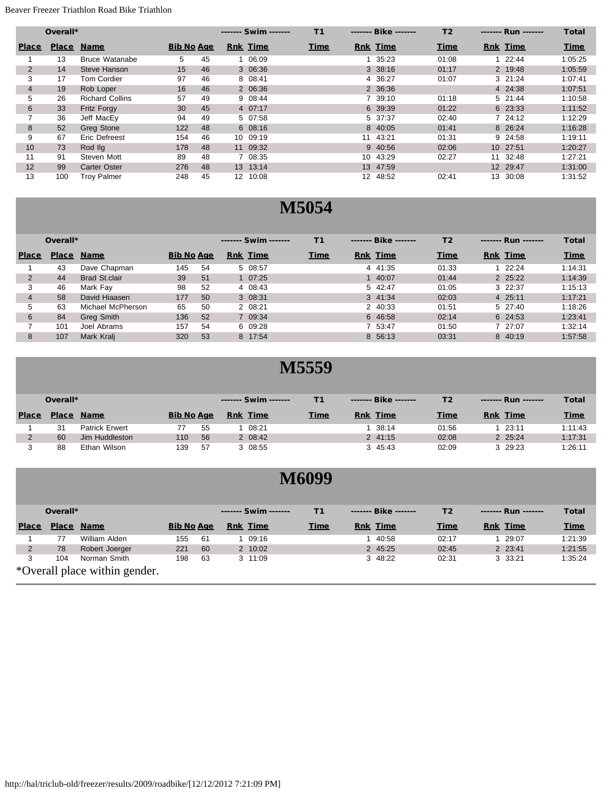#### Beaver Freezer Triathlon Road Bike Triathlon

|                | Overall*     |                        |                   |    |                 | ------- Swim ------- | T1          |    | Bike            | T <sub>2</sub> |                 | ------- Run ------- | <b>Total</b> |
|----------------|--------------|------------------------|-------------------|----|-----------------|----------------------|-------------|----|-----------------|----------------|-----------------|---------------------|--------------|
| <b>Place</b>   | <b>Place</b> | <b>Name</b>            | <b>Bib No Age</b> |    |                 | <b>Rnk Time</b>      | <b>Time</b> |    | <b>Rnk Time</b> | <b>Time</b>    | <b>Rnk Time</b> |                     | <b>Time</b>  |
|                | 13           | <b>Bruce Watanabe</b>  | 5                 | 45 |                 | 06:09                |             |    | 35:23           | 01:08          |                 | 1 22:44             | 1:05:25      |
| $\overline{2}$ | 14           | Steve Hanson           | 15                | 46 |                 | 3 06:36              |             |    | 3 38:16         | 01:17          |                 | 2 19:48             | 1:05:59      |
| 3              | 17           | <b>Tom Cordier</b>     | 97                | 46 |                 | 8 08:41              |             | 4  | 36:27           | 01:07          |                 | 3 21:24             | 1:07:41      |
| $\overline{4}$ | 19           | Rob Loper              | 16                | 46 |                 | 2 06:36              |             |    | 2 36:36         |                |                 | 4 24:38             | 1:07:51      |
| 5              | 26           | <b>Richard Collins</b> | 57                | 49 |                 | 9 08:44              |             |    | 39:10           | 01:18          |                 | 5 21:44             | 1:10:58      |
| 6              | 33           | <b>Fritz Forgy</b>     | 30                | 45 |                 | 4 07:17              |             |    | 6 39:39         | 01:22          |                 | 6 23:33             | 1:11:52      |
| 7              | 36           | Jeff MacEy             | 94                | 49 |                 | 5 07:58              |             |    | 5 37:37         | 02:40          |                 | 724:12              | 1:12:29      |
| 8              | 52           | <b>Greg Stone</b>      | 122               | 48 |                 | 608:16               |             |    | 8 40:05         | 01:41          |                 | 8 26:24             | 1:16:28      |
| 9              | 67           | Eric Defreest          | 154               | 46 |                 | 10 09:19             |             | 11 | 43:21           | 01:31          |                 | 9 24:58             | 1:19:11      |
| 10             | 73           | Rod IIq                | 178               | 48 |                 | 11 09:32             |             |    | 9 40:56         | 02:06          |                 | 10 27:51            | 1:20:27      |
| 11             | 91           | Steven Mott            | 89                | 48 |                 | 7 08:35              |             | 10 | 43:29           | 02:27          | 11              | 32:48               | 1:27:21      |
| 12             | 99           | <b>Carter Oster</b>    | 276               | 48 |                 | 13 13:14             |             |    | 13 47:59        |                |                 | 12 29:47            | 1:31:00      |
| 13             | 100          | <b>Troy Palmer</b>     | 248               | 45 | 12 <sup>7</sup> | 10:08                |             | 12 | 48:52           | 02:41          |                 | 13 30:08            | 1:31:52      |

#### **M5054**

|              | Overall*     |                      |                   |     | ------- Swim ------- | T1   | Bike     | T <sub>2</sub> | Run      | <b>Total</b> |
|--------------|--------------|----------------------|-------------------|-----|----------------------|------|----------|----------------|----------|--------------|
| <b>Place</b> | <b>Place</b> | <b>Name</b>          | <b>Bib No Age</b> |     | <b>Rnk Time</b>      | Time | Rnk Time | Time           | Rnk Time | <b>Time</b>  |
|              | 43           | Dave Chapman         | 145               | 54  | 5 08:57              |      | 4 41:35  | 01:33          | 22:24    | 1:14:31      |
|              | 44           | <b>Brad St.clair</b> | 39                | 51  | $1 \t07:25$          |      | 40:07    | 01:44          | 2 25:22  | 1:14:39      |
|              | 46           | Mark Fav             | 98                | 52  | 4 08:43              |      | 5 42:47  | 01:05          | 322:37   | 1:15:13      |
| 4            | 58           | David Hiaasen        | 177               | 50  | 3 08:31              |      | 3 41:34  | 02:03          | 4 25:11  | 1:17:21      |
|              | 63           | Michael McPherson    | 65                | -50 | 2 08:21              |      | 2 40:33  | 01:51          | 5 27:40  | 1:18:26      |
| 6            | 84           | Greg Smith           | 136               | 52  | 7 09:34              |      | 6 46:58  | 02:14          | 6 24:53  | 1:23:41      |
|              | 101          | Joel Abrams          | 157               | 54  | 6 09:28              |      | 7 53:47  | 01:50          | 7 27:07  | 1:32:14      |
| 8            | 107          | Mark Kralj           | 320               | 53  | 8 17:54              |      | 8 56:13  | 03:31          | 8 40:19  | 1:57:58      |

|              | Overall*     |                       |                   |     | Swim            |             | Bike ------- | T2          | Run             | <b>Total</b> |
|--------------|--------------|-----------------------|-------------------|-----|-----------------|-------------|--------------|-------------|-----------------|--------------|
| <b>Place</b> | <b>Place</b> | <b>Name</b>           | <b>Bib No Age</b> |     | <b>Rnk Time</b> | <b>Time</b> | Rnk Time     | <b>Time</b> | <b>Rnk Time</b> | <b>Time</b>  |
|              | 31           | <b>Patrick Erwert</b> |                   | 55  | 08:21           |             | 38:14        | 01:56       | 23:11           | 1:11:43      |
|              | 60           | Jim Huddleston        | 110               | 56  | 2 08:42         |             | 2, 41:15     | 02:08       | 2 25:24         | 1:17:31      |
|              | 88           | Ethan Wilson          | 139               | -57 | 3 08:55         |             | 3 45:43      | 02:09       | 3 29:23         | 1:26:11      |

|                |              |                               |                   |     |                      | <b>M6099</b> |                 |                |                 |              |
|----------------|--------------|-------------------------------|-------------------|-----|----------------------|--------------|-----------------|----------------|-----------------|--------------|
|                | Overall*     |                               |                   |     | ------- Swim ------- | T1           | Bike            | T <sub>2</sub> | Run             | <b>Total</b> |
| <b>Place</b>   | <b>Place</b> | <b>Name</b>                   | <b>Bib No Age</b> |     | <b>Rnk</b> Time      | <b>Time</b>  | <b>Rnk</b> Time | <b>Time</b>    | <b>Rnk</b> Time | <b>Time</b>  |
|                | 77           | William Alden                 | 155               | -61 | 1 09:16              |              | 40:58           | 02:17          | 29:07           | 1:21:39      |
| $\overline{2}$ | 78           | Robert Joerger                | 221               | 60  | 2 10:02              |              | 2 45:25         | 02:45          | 2 23:41         | 1:21:55      |
| 3              | 104          | Norman Smith                  | 198               | -63 | 3 11:09              |              | 3 48:22         | 02:31          | 3 33:21         | 1:35:24      |
|                |              | *Overall place within gender. |                   |     |                      |              |                 |                |                 |              |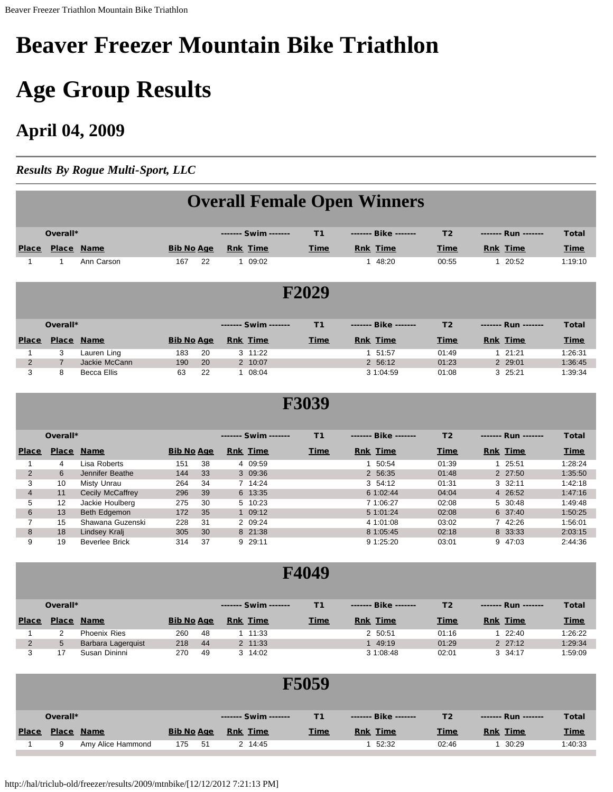# <span id="page-7-0"></span>**Beaver Freezer Mountain Bike Triathlon**

# **Age Group Results**

### **April 04, 2009**

*Results By Rogue Multi-Sport, LLC*

|                |                |                    |                   |    |                      |       | <b>Overall Female Open Winners</b> |                |                 |              |  |
|----------------|----------------|--------------------|-------------------|----|----------------------|-------|------------------------------------|----------------|-----------------|--------------|--|
|                | Overall*       |                    |                   |    | ------- Swim ------- | T1    | Bike                               | T <sub>2</sub> | Run             | <b>Total</b> |  |
| <b>Place</b>   | Place Name     |                    | <b>Bib No Age</b> |    | <b>Rnk</b> Time      | Time  | <b>Rnk Time</b>                    | Time           | <b>Rnk Time</b> | <b>Time</b>  |  |
| 1              | 1              | Ann Carson         | 167               | 22 | 1 09:02              |       | 48:20<br>1                         | 00:55          | 1 20:52         | 1:19:10      |  |
|                |                |                    |                   |    |                      | F2029 |                                    |                |                 |              |  |
|                | Overall*       |                    |                   |    | ------- Swim ------- | T1    | Bike                               | T <sub>2</sub> | Run             | <b>Total</b> |  |
| <b>Place</b>   | Place Name     |                    | <b>Bib No Age</b> |    | <b>Rnk Time</b>      | Time  | <b>Rnk Time</b>                    | <b>Time</b>    | <b>Rnk Time</b> | Time         |  |
| 1              | 3              | Lauren Ling        | 183               | 20 | 3 11:22              |       | 1 51:57                            | 01:49          | 121:21          | 1:26:31      |  |
| $\overline{2}$ | $\overline{7}$ | Jackie McCann      | 190               | 20 | 2 10:07              |       | 2 56:12                            | 01:23          | 2 29:01         | 1:36:45      |  |
| 3              | 8              | <b>Becca Ellis</b> | 63                | 22 | 1 08:04              |       | 3 1:04:59                          | 01:08          | 3 25:21         | 1:39:34      |  |
|                | <b>F3039</b>   |                    |                   |    |                      |       |                                    |                |                 |              |  |
|                |                |                    |                   |    |                      |       |                                    |                |                 |              |  |

|              | <b>VVGLALL</b> |                  |                   |                 |         |             |                 | ------- שאוש<br>. . | --- IVWII ------- | 1 v tai     |
|--------------|----------------|------------------|-------------------|-----------------|---------|-------------|-----------------|---------------------|-------------------|-------------|
| <b>Place</b> | <b>Place</b>   | <b>Name</b>      | <b>Bib No Age</b> | <b>Rnk Time</b> |         | <b>Time</b> | <b>Rnk Time</b> | <b>Time</b>         | <b>Rnk Time</b>   | <b>Time</b> |
|              | 4              | Lisa Roberts     | 151<br>38         |                 | 4 09:59 |             | 50:54           | 01:39               | 25:51             | 1:28:24     |
|              | 6              | Jennifer Beathe  | 33<br>144         |                 | 3 09:36 |             | 2 56:35         | 01:48               | 2 27:50           | 1:35:50     |
| 3            | 10             | Misty Unrau      | 34<br>264         |                 | 7 14:24 |             | 3 54:12         | 01:31               | 3, 32:11          | 1:42:18     |
| 4            | 11             | Cecily McCaffrey | 296<br>39         |                 | 6 13:35 |             | 6 1:02:44       | 04:04               | 4 26:52           | 1:47:16     |
| 5            | 12             | Jackie Houlberg  | 275<br>-30        |                 | 5 10:23 |             | 7 1:06:27       | 02:08               | 5 30:48           | 1:49:48     |
| 6            | 13             | Beth Edgemon     | 35<br>172         |                 | 1 09:12 |             | 5 1:01:24       | 02:08               | 6 37:40           | 1:50:25     |
|              | 15             | Shawana Guzenski | 228<br>31         |                 | 2 09:24 |             | 4 1:01:08       | 03:02               | 7 42:26           | 1:56:01     |
| 8            | 18             | Lindsey Kralj    | 305<br>30         |                 | 8 21:38 |             | 8 1:05:45       | 02:18               | 8 33:33           | 2:03:15     |
| 9            | 19             | Beverlee Brick   | -37<br>314        |                 | 9 29:11 |             | 9 1:25:20       | 03:01               | 9 47:03           | 2:44:36     |

|              | Overall*     |                    |                   |     | Swim            |             | -------- Bike ------- | Т2          | Run         | <b>Total</b> |
|--------------|--------------|--------------------|-------------------|-----|-----------------|-------------|-----------------------|-------------|-------------|--------------|
| <b>Place</b> | <b>Place</b> | <b>Name</b>        | <b>Bib No Age</b> |     | <b>Rnk</b> Time | <b>Time</b> | <b>Rnk Time</b>       | <b>Time</b> | Rnk Time    | <b>Time</b>  |
|              |              | Phoenix Ries       | 260               | -48 | $1 \quad 11:33$ |             | 2 50:51               | 01:16       | 22:40       | 1:26:22      |
|              |              | Barbara Lagerguist | 218               | 44  | 2 11:33         |             | 49:19                 | 01:29       | $2 \t27:12$ | 1:29:34      |
|              |              | Susan Dininni      | 270               | -49 | 3 14:02         |             | 3 1:08:48             | 02:01       | 3 34:17     | 1:59:09      |

|              |          |                   |                   |                      | F5059       |                 |                |                 |              |
|--------------|----------|-------------------|-------------------|----------------------|-------------|-----------------|----------------|-----------------|--------------|
|              | Overall* |                   |                   | ------- Swim ------- | T1          | Bike            | T <sub>2</sub> | Run             | <b>Total</b> |
| <b>Place</b> |          | Place Name        | <b>Bib No Age</b> | <b>Rnk</b> Time      | <b>Time</b> | <b>Rnk Time</b> | <b>Time</b>    | <b>Rnk Time</b> | <b>Time</b>  |
|              | 9        | Amy Alice Hammond | 175<br>51         | 2 14:45              |             | 52:32           | 02:46          | 30:29           | 1:40:33      |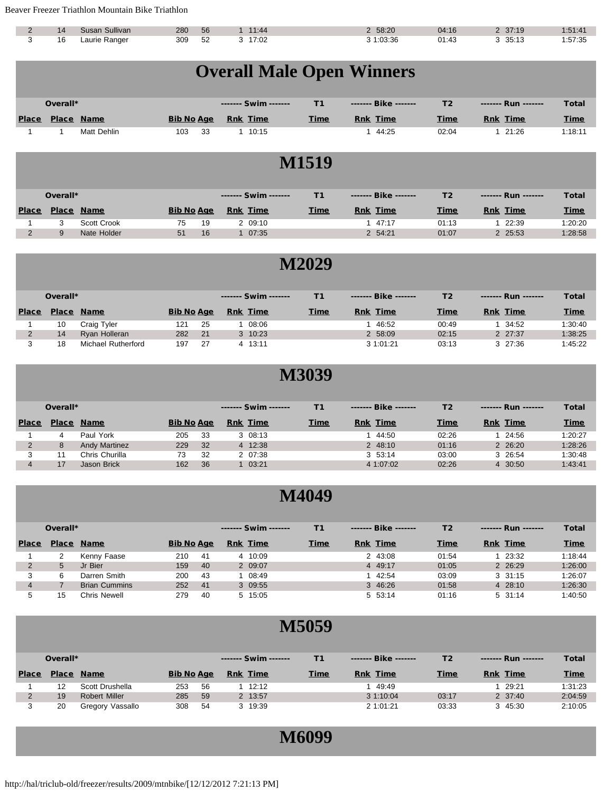Beaver Freezer Triathlon Mountain Bike Triathlon

| 14 | Sullivan<br>Susan | 280 | 56 | 11:44 | 58:20  | 04:16 | 37:19 | :51:4  |
|----|-------------------|-----|----|-------|--------|-------|-------|--------|
| 16 | Laurie Ranger     | 309 | 52 | 17:02 | :03:36 | 01:43 | 35:13 | :57:35 |

|              | <b>Overall Male Open Winners</b> |                   |                   |    |                 |                      |  |              |                 |  |                |  |                 |              |
|--------------|----------------------------------|-------------------|-------------------|----|-----------------|----------------------|--|--------------|-----------------|--|----------------|--|-----------------|--------------|
|              |                                  |                   |                   |    |                 |                      |  |              |                 |  |                |  |                 |              |
|              |                                  |                   |                   |    |                 |                      |  |              |                 |  |                |  |                 |              |
|              | Overall*                         |                   |                   |    |                 | Swim                 |  | T1           | Bike            |  | T <sub>2</sub> |  | Run             | <b>Total</b> |
| <b>Place</b> |                                  | <b>Place Name</b> | <b>Bib No Age</b> |    | <b>Rnk Time</b> |                      |  | <b>Time</b>  | <b>Rnk Time</b> |  | <b>Time</b>    |  | <b>Rnk Time</b> | <b>Time</b>  |
|              |                                  | Matt Dehlin       | 103               | 33 |                 | 1 10:15              |  |              | 1 44:25         |  | 02:04          |  | 121:26          | 1:18:11      |
|              |                                  |                   |                   |    |                 |                      |  |              |                 |  |                |  |                 |              |
|              |                                  |                   |                   |    |                 |                      |  | <b>M1519</b> |                 |  |                |  |                 |              |
|              |                                  |                   |                   |    |                 |                      |  |              |                 |  |                |  |                 |              |
|              |                                  |                   |                   |    |                 |                      |  |              |                 |  |                |  |                 |              |
|              | Overall*                         |                   |                   |    |                 | ------- Swim ------- |  | T1           | Bike            |  | T2             |  | Run             | <b>Total</b> |
|              |                                  |                   |                   |    |                 |                      |  |              |                 |  |                |  |                 |              |

| <b>Place</b> | <b>Place</b> | <b>Name</b> | <b>Bib No Age</b> |    | Time<br>Rnk | <b>Time</b> | <b>Time</b><br>Rnk | <b>Time</b> | <b>Time</b><br>Rnk | <b>Time</b> |
|--------------|--------------|-------------|-------------------|----|-------------|-------------|--------------------|-------------|--------------------|-------------|
|              |              | Scott Crook | 75                | 19 | 09:10       |             | 47:17              | 01:13       | 22:39              | 1:20:20     |
|              |              | Nate Holder | 51                | 16 | 07:35       |             | 2 54:21            | 01:07       | 2 25:53            | 1:28:58     |

### **M2029**

|              | Overall*     |                    |                   |     | ------- Swim ------- |             | Bike            | T <sub>2</sub> | Run             | Total       |
|--------------|--------------|--------------------|-------------------|-----|----------------------|-------------|-----------------|----------------|-----------------|-------------|
| <b>Place</b> | <b>Place</b> | <b>Name</b>        | <b>Bib No Age</b> |     | <b>Rnk</b> Time      | <b>Time</b> | <b>Rnk Time</b> | <b>Time</b>    | <b>Rnk Time</b> | <b>Time</b> |
|              | 10           | Craig Tyler        | 121               | -25 | 08:06                |             | 46:52           | 00:49          | 34:52           | 1:30:40     |
|              | 14           | Ryan Holleran      | 282               | 21  | 3 10:23              |             | 2 58:09         | 02:15          | 2 27:37         | 1:38:25     |
|              | 18           | Michael Rutherford | 197               | 27  | 4 13:11              |             | 3 1:01:21       | 03:13          | $3\quad27:36$   | 1:45:22     |

#### **M3039**

|              | Overall*     |                      |                   |    | Swim            | Т1.         | Bike            | Τ2    | Run             | <b>Total</b> |
|--------------|--------------|----------------------|-------------------|----|-----------------|-------------|-----------------|-------|-----------------|--------------|
| <b>Place</b> | <b>Place</b> | <b>Name</b>          | <b>Bib No Age</b> |    | <b>Rnk</b> Time | <b>Time</b> | <b>Rnk Time</b> | Time  | <b>Rnk Time</b> | <b>Time</b>  |
|              | 4            | Paul York            | 205               | 33 | 3 08:13         |             | 44:50           | 02:26 | 24:56           | 1:20:27      |
|              | 8            | <b>Andy Martinez</b> | 229               | 32 | 4 12:38         |             | 2 48:10         | 01:16 | 2 26:20         | 1:28:26      |
|              |              | Chris Churilla       | 73                | 32 | 2 07:38         |             | 3, 53:14        | 03:00 | 3 26:54         | 1:30:48      |
|              | 17           | Jason Brick          | 162               | 36 | 03:21           |             | 4 1:07:02       | 02:26 | 4 30:50         | 1:43:41      |

#### **M4049**

|              | Overall*     |                      |                   |     | Swim -------    | Т1.         | Bike            | T <sub>2</sub> | Run             | <b>Total</b> |
|--------------|--------------|----------------------|-------------------|-----|-----------------|-------------|-----------------|----------------|-----------------|--------------|
| <b>Place</b> | <b>Place</b> | <b>Name</b>          | <b>Bib No Age</b> |     | <b>Rnk Time</b> | <b>Time</b> | <b>Rnk Time</b> | Time           | <b>Rnk Time</b> | <b>Time</b>  |
|              |              | Kenny Faase          | 210               | -41 | 4 10:09         |             | 2 43:08         | 01:54          | 23:32           | 1:18:44      |
| 2            | 5            | Jr Bier              | 159               | 40  | 2 09:07         |             | 4 49:17         | 01:05          | 2 26:29         | 1:26:00      |
|              | 6            | Darren Smith         | 200               | 43  | 08:49           |             | 42:54           | 03:09          | $3 \quad 31:15$ | 1:26:07      |
|              |              | <b>Brian Cummins</b> | 252               | 41  | 3 09:55         |             | 3 46:26         | 01:58          | 4 28:10         | 1:26:30      |
| 5            | 15           | Chris Newell         | 279               | 40  | 5 15:05         |             | 5 53:14         | 01:16          | $5 \, 31:14$    | 1:40:50      |

|              | Overall*     |                  |                   |    | Swim            |             | Bike            | T2          | ------- Run ------- | <b>Total</b> |
|--------------|--------------|------------------|-------------------|----|-----------------|-------------|-----------------|-------------|---------------------|--------------|
| <b>Place</b> | <b>Place</b> | <b>Name</b>      | <b>Bib No Age</b> |    | <b>Rnk Time</b> | <b>Time</b> | <b>Rnk Time</b> | <b>Time</b> | <b>Rnk Time</b>     | <b>Time</b>  |
|              |              | Scott Drushella  | 253               | 56 | 12:12           |             | 49:49           |             | 29:21               | 1:31:23      |
|              | 19           | Robert Miller    | 285               | 59 | 2 13:57         |             | 3 1:10:04       | 03:17       | 2 37:40             | 2:04:59      |
|              | 20           | Gregory Vassallo | 308               | 54 | 3 19:39         |             | 2 1:01:21       | 03:33       | 3 45:30             | 2:10:05      |

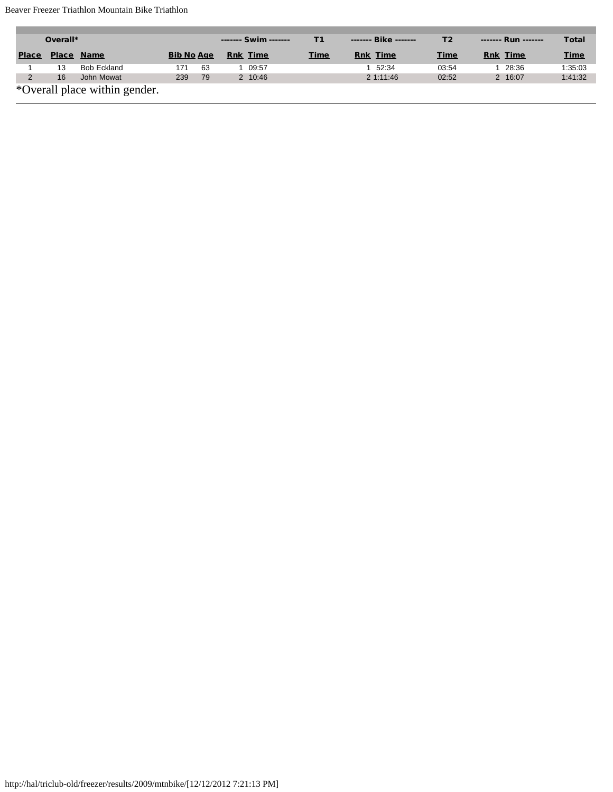#### Beaver Freezer Triathlon Mountain Bike Triathlon

|               | Overall*     |                               |                   |    | Swim -------    | Τ1          | Bike            | Т2          | Run             | <b>Total</b> |
|---------------|--------------|-------------------------------|-------------------|----|-----------------|-------------|-----------------|-------------|-----------------|--------------|
| <b>Place</b>  | <b>Place</b> | <b>Name</b>                   | <b>Bib No Age</b> |    | <b>Rnk Time</b> | <b>Time</b> | <b>Rnk Time</b> | <b>Time</b> | <b>Rnk Time</b> | <b>Time</b>  |
|               | 13           | Bob Eckland                   | 171               | 63 | 09:57           |             | 52:34           | 03:54       | 28:36           | 1:35:03      |
| $\mathcal{D}$ | 16           | John Mowat                    | 239               | 79 | 2 10:46         |             | 2 1:11:46       | 02:52       | 2 16:07         | 1:41:32      |
|               |              | *Overall place within gender. |                   |    |                 |             |                 |             |                 |              |